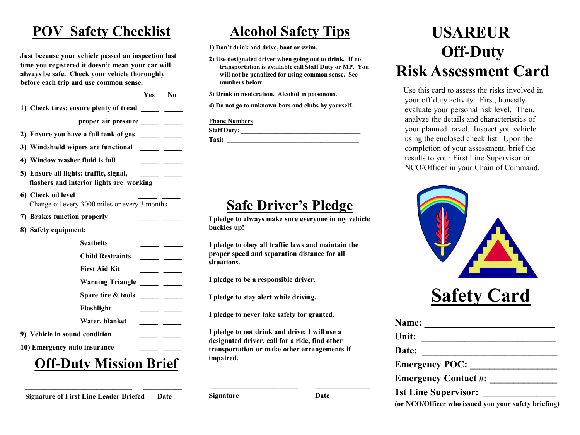# **POV Safety Checklist**

**Just because your vehicle passed an inspection last time you registered it doesn't mean your car will always be safe. Check your vehicle thoroughly before each trip and use common sense.**

**1) Check tires: ensure plenty of tread \_\_\_\_\_ \_\_\_\_\_**

proper air pressure \_\_\_\_\_ \_\_\_\_

**Yes No**

**2) Ensure you have a full tank of gas \_\_\_\_\_ \_\_\_\_\_**

- **3) Windshield wipers are functional \_\_\_\_\_ \_\_\_\_\_**
- **4) Window washer fluid is full \_\_\_\_\_ \_\_\_\_\_**
- **5) Ensure all lights: traffic, signal, \_\_\_\_\_ \_\_\_\_\_ flashers and interior lights are working**

**6)** Check oil level Change oil every 3000 miles or every 3 months

**7) Brakes function properly \_\_\_\_\_ \_\_\_\_\_**

**8) Safety equipment:**

**Seatbelts \_\_\_\_\_ \_\_\_\_\_**

- **Child Restraints \_\_\_\_\_ \_\_\_\_\_**
- **First Aid Kit \_\_\_\_\_ \_\_\_\_\_**

Warning Triangle \_\_\_\_\_ \_\_\_\_

**Spare tire & tools \_\_\_\_\_ \_\_\_\_\_**

**Flashlight \_\_\_\_\_ \_\_\_\_\_**

**Water, blanket \_\_\_\_\_ \_\_\_\_\_**

**9) Vehicle in sound condition \_\_\_\_\_ \_\_\_\_\_**

10) Emergency auto insurance

# **Off-Duty Mission Brief**

**\_\_\_\_\_\_\_\_\_\_\_\_\_\_\_\_\_\_\_\_\_\_\_\_\_\_\_\_\_\_\_\_\_ \_\_\_\_\_\_\_\_\_\_\_\_ Signature of First Line Leader Briefed Date**

**Alcohol Safety Tips**

**1) Don't drink and drive, boat or swim.**

**2) Use designated driver when going out to drink. If no transportation is available call Staff Duty or MP. You will not be penalized for using common sense. See numbers below.**

**3) Drink in moderation. Alcohol is poisonous.**

**4) Do not go to unknown bars and clubs by yourself.** 

### **Phone Numbers**

**Staff Duty: \_\_\_\_\_\_\_\_\_\_\_\_\_\_\_\_\_\_\_\_\_\_\_\_\_\_\_\_\_\_\_\_\_\_\_\_\_ Taxi: \_\_\_\_\_\_\_\_\_\_\_\_\_\_\_\_\_\_\_\_\_\_\_\_\_\_\_\_\_\_\_\_\_\_\_\_\_\_\_\_\_**

# **Safe Driver's Pledge**

**I pledge to always make sure everyone in my vehicle buckles up!**

**I pledge to obey all traffic laws and maintain the proper speed and separation distance for all situations.**

**I pledge to be a responsible driver.**

**I pledge to stay alert while driving.**

**I pledge to never take safety for granted.**

**I pledge to not drink and drive; I will use a designated driver, call for a ride, find other transportation or make other arrangements if impaired.**

**Signature Date**

# **USAREUR Off-Duty Risk Assessment Card**

Use this card to assess the risks involved in your off duty activity. First, honestly evaluate your personal risk level. Then, analyze the details and characteristics of your planned travel. Inspect you vehicle using the enclosed check list. Upon the completion of your assessment, brief the results to your First Line Supervisor or NCO/Officer in your Chain of Command.

| <b>Safety Card</b> |
|--------------------|

| Name:                 |                                                      |
|-----------------------|------------------------------------------------------|
| Unit:                 |                                                      |
| Date:                 |                                                      |
| <b>Emergency POC:</b> |                                                      |
|                       | <b>Emergency Contact #:</b>                          |
|                       | <b>1st Line Supervisor:</b>                          |
|                       | (or NCO/Officer who issued you your safety briefing) |